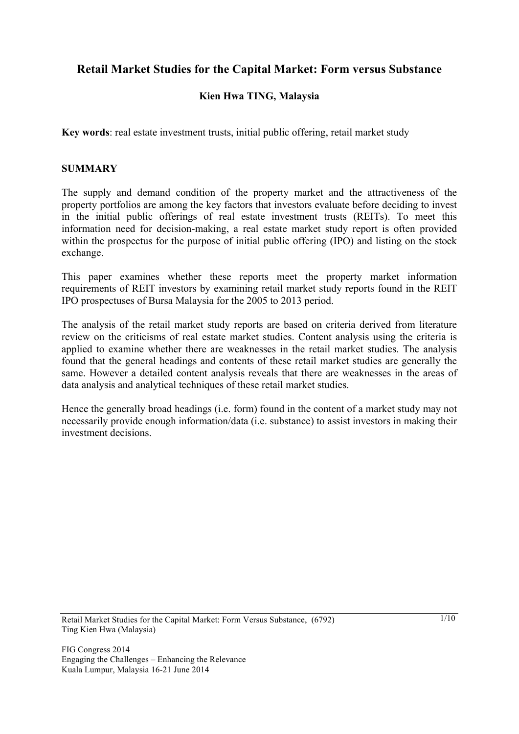# **Retail Market Studies for the Capital Market: Form versus Substance**

## **Kien Hwa TING, Malaysia**

**Key words**: real estate investment trusts, initial public offering, retail market study

#### **SUMMARY**

The supply and demand condition of the property market and the attractiveness of the property portfolios are among the key factors that investors evaluate before deciding to invest in the initial public offerings of real estate investment trusts (REITs). To meet this information need for decision-making, a real estate market study report is often provided within the prospectus for the purpose of initial public offering (IPO) and listing on the stock exchange.

This paper examines whether these reports meet the property market information requirements of REIT investors by examining retail market study reports found in the REIT IPO prospectuses of Bursa Malaysia for the 2005 to 2013 period.

The analysis of the retail market study reports are based on criteria derived from literature review on the criticisms of real estate market studies. Content analysis using the criteria is applied to examine whether there are weaknesses in the retail market studies. The analysis found that the general headings and contents of these retail market studies are generally the same. However a detailed content analysis reveals that there are weaknesses in the areas of data analysis and analytical techniques of these retail market studies.

Hence the generally broad headings (i.e. form) found in the content of a market study may not necessarily provide enough information/data (i.e. substance) to assist investors in making their investment decisions.

Retail Market Studies for the Capital Market: Form Versus Substance, (6792) Ting Kien Hwa (Malaysia)

1/10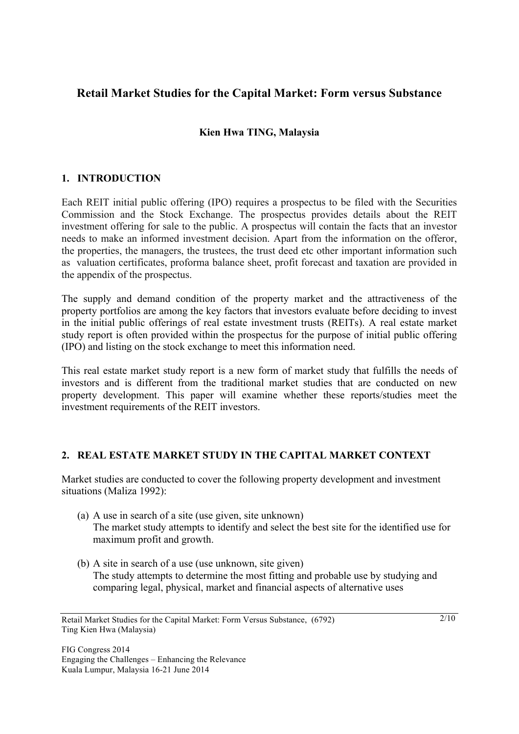# **Retail Market Studies for the Capital Market: Form versus Substance**

## **Kien Hwa TING, Malaysia**

## **1. INTRODUCTION**

Each REIT initial public offering (IPO) requires a prospectus to be filed with the Securities Commission and the Stock Exchange. The prospectus provides details about the REIT investment offering for sale to the public. A prospectus will contain the facts that an investor needs to make an informed investment decision. Apart from the information on the offeror, the properties, the managers, the trustees, the trust deed etc other important information such as valuation certificates, proforma balance sheet, profit forecast and taxation are provided in the appendix of the prospectus.

The supply and demand condition of the property market and the attractiveness of the property portfolios are among the key factors that investors evaluate before deciding to invest in the initial public offerings of real estate investment trusts (REITs). A real estate market study report is often provided within the prospectus for the purpose of initial public offering (IPO) and listing on the stock exchange to meet this information need.

This real estate market study report is a new form of market study that fulfills the needs of investors and is different from the traditional market studies that are conducted on new property development. This paper will examine whether these reports/studies meet the investment requirements of the REIT investors.

#### **2. REAL ESTATE MARKET STUDY IN THE CAPITAL MARKET CONTEXT**

Market studies are conducted to cover the following property development and investment situations (Maliza 1992):

- (a) A use in search of a site (use given, site unknown) The market study attempts to identify and select the best site for the identified use for maximum profit and growth.
- (b) A site in search of a use (use unknown, site given) The study attempts to determine the most fitting and probable use by studying and comparing legal, physical, market and financial aspects of alternative uses

 $2/10$ 

Retail Market Studies for the Capital Market: Form Versus Substance, (6792) Ting Kien Hwa (Malaysia)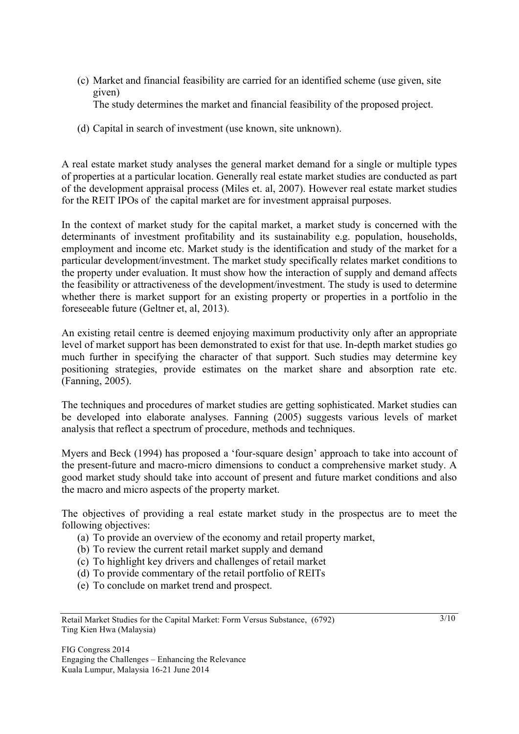(c) Market and financial feasibility are carried for an identified scheme (use given, site given)

The study determines the market and financial feasibility of the proposed project.

(d) Capital in search of investment (use known, site unknown).

A real estate market study analyses the general market demand for a single or multiple types of properties at a particular location. Generally real estate market studies are conducted as part of the development appraisal process (Miles et. al, 2007). However real estate market studies for the REIT IPOs of the capital market are for investment appraisal purposes.

In the context of market study for the capital market, a market study is concerned with the determinants of investment profitability and its sustainability e.g. population, households, employment and income etc. Market study is the identification and study of the market for a particular development/investment. The market study specifically relates market conditions to the property under evaluation. It must show how the interaction of supply and demand affects the feasibility or attractiveness of the development/investment. The study is used to determine whether there is market support for an existing property or properties in a portfolio in the foreseeable future (Geltner et, al, 2013).

An existing retail centre is deemed enjoying maximum productivity only after an appropriate level of market support has been demonstrated to exist for that use. In-depth market studies go much further in specifying the character of that support. Such studies may determine key positioning strategies, provide estimates on the market share and absorption rate etc. (Fanning, 2005).

The techniques and procedures of market studies are getting sophisticated. Market studies can be developed into elaborate analyses. Fanning (2005) suggests various levels of market analysis that reflect a spectrum of procedure, methods and techniques.

Myers and Beck (1994) has proposed a 'four-square design' approach to take into account of the present-future and macro-micro dimensions to conduct a comprehensive market study. A good market study should take into account of present and future market conditions and also the macro and micro aspects of the property market.

The objectives of providing a real estate market study in the prospectus are to meet the following objectives:

- (a) To provide an overview of the economy and retail property market,
- (b) To review the current retail market supply and demand
- (c) To highlight key drivers and challenges of retail market
- (d) To provide commentary of the retail portfolio of REITs
- (e) To conclude on market trend and prospect.

Retail Market Studies for the Capital Market: Form Versus Substance, (6792) Ting Kien Hwa (Malaysia)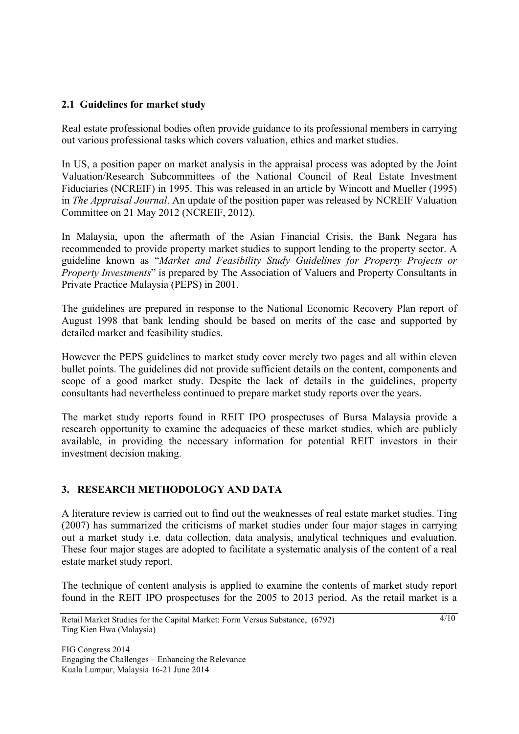## **2.1 Guidelines for market study**

Real estate professional bodies often provide guidance to its professional members in carrying out various professional tasks which covers valuation, ethics and market studies.

In US, a position paper on market analysis in the appraisal process was adopted by the Joint Valuation/Research Subcommittees of the National Council of Real Estate Investment Fiduciaries (NCREIF) in 1995. This was released in an article by Wincott and Mueller (1995) in *The Appraisal Journal*. An update of the position paper was released by NCREIF Valuation Committee on 21 May 2012 (NCREIF, 2012).

In Malaysia, upon the aftermath of the Asian Financial Crisis, the Bank Negara has recommended to provide property market studies to support lending to the property sector. A guideline known as "*Market and Feasibility Study Guidelines for Property Projects or Property Investments*" is prepared by The Association of Valuers and Property Consultants in Private Practice Malaysia (PEPS) in 2001.

The guidelines are prepared in response to the National Economic Recovery Plan report of August 1998 that bank lending should be based on merits of the case and supported by detailed market and feasibility studies.

However the PEPS guidelines to market study cover merely two pages and all within eleven bullet points. The guidelines did not provide sufficient details on the content, components and scope of a good market study. Despite the lack of details in the guidelines, property consultants had nevertheless continued to prepare market study reports over the years.

The market study reports found in REIT IPO prospectuses of Bursa Malaysia provide a research opportunity to examine the adequacies of these market studies, which are publicly available, in providing the necessary information for potential REIT investors in their investment decision making.

#### **3. RESEARCH METHODOLOGY AND DATA**

A literature review is carried out to find out the weaknesses of real estate market studies. Ting (2007) has summarized the criticisms of market studies under four major stages in carrying out a market study i.e. data collection, data analysis, analytical techniques and evaluation. These four major stages are adopted to facilitate a systematic analysis of the content of a real estate market study report.

The technique of content analysis is applied to examine the contents of market study report found in the REIT IPO prospectuses for the 2005 to 2013 period. As the retail market is a

 $A/10$ 

Retail Market Studies for the Capital Market: Form Versus Substance, (6792) Ting Kien Hwa (Malaysia)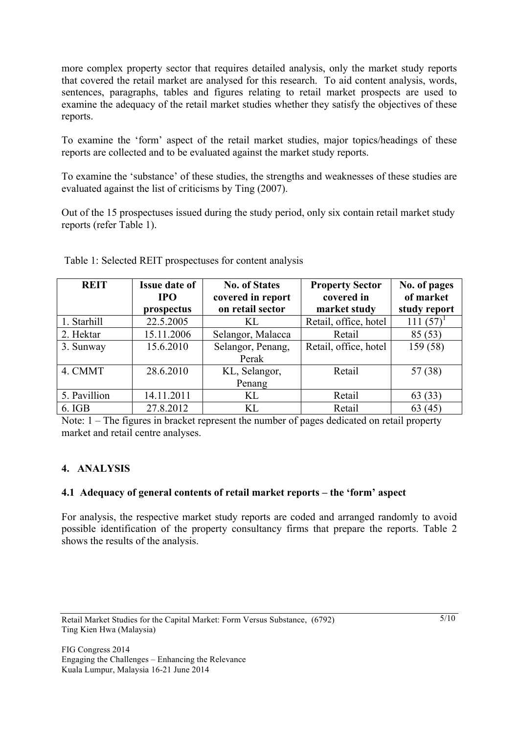more complex property sector that requires detailed analysis, only the market study reports that covered the retail market are analysed for this research. To aid content analysis, words, sentences, paragraphs, tables and figures relating to retail market prospects are used to examine the adequacy of the retail market studies whether they satisfy the objectives of these reports.

To examine the 'form' aspect of the retail market studies, major topics/headings of these reports are collected and to be evaluated against the market study reports.

To examine the 'substance' of these studies, the strengths and weaknesses of these studies are evaluated against the list of criticisms by Ting (2007).

Out of the 15 prospectuses issued during the study period, only six contain retail market study reports (refer Table 1).

| <b>REIT</b>  | <b>Issue date of</b> | <b>No. of States</b> | <b>Property Sector</b> | No. of pages<br>of market |
|--------------|----------------------|----------------------|------------------------|---------------------------|
|              | <b>IPO</b>           | covered in report    | covered in             |                           |
|              | prospectus           | on retail sector     | market study           | study report              |
| 1. Starhill  | 22.5.2005            | KL                   | Retail, office, hotel  | 111(57)                   |
| 2. Hektar    | 15.11.2006           | Selangor, Malacca    | Retail                 | 85(53)                    |
| 3. Sunway    | 15.6.2010            | Selangor, Penang,    | Retail, office, hotel  | 159 (58)                  |
|              |                      | Perak                |                        |                           |
| 4. CMMT      | 28.6.2010            | KL, Selangor,        | Retail                 | 57 (38)                   |
|              |                      | Penang               |                        |                           |
| 5. Pavillion | 14.11.2011           | KL                   | Retail                 | 63(33)                    |
| 6. IGB       | 27.8.2012            | KL                   | Retail                 | 63(45)                    |

Table 1: Selected REIT prospectuses for content analysis

Note: 1 – The figures in bracket represent the number of pages dedicated on retail property market and retail centre analyses.

## **4. ANALYSIS**

#### **4.1 Adequacy of general contents of retail market reports – the 'form' aspect**

For analysis, the respective market study reports are coded and arranged randomly to avoid possible identification of the property consultancy firms that prepare the reports. Table 2 shows the results of the analysis.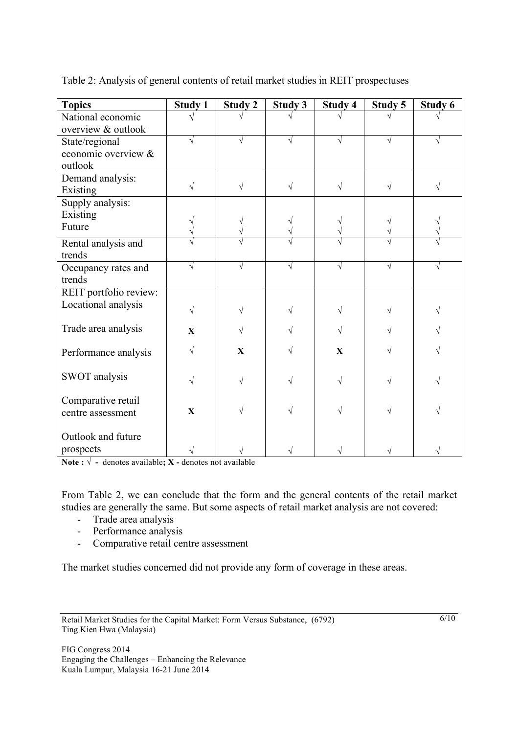| <b>Topics</b>          | <b>Study 1</b> | <b>Study 2</b>          | <b>Study 3</b> | Study 4      | Study 5   | Study 6 |
|------------------------|----------------|-------------------------|----------------|--------------|-----------|---------|
| National economic      |                |                         |                |              |           |         |
| overview & outlook     |                |                         |                |              |           |         |
| State/regional         |                |                         |                |              |           |         |
| economic overview &    |                |                         |                |              |           |         |
| outlook                |                |                         |                |              |           |         |
| Demand analysis:       | $\sqrt{ }$     |                         |                |              |           |         |
| Existing               |                | $\sqrt{}$               | $\sqrt{}$      | $\sqrt{}$    | $\sqrt{}$ | V       |
| Supply analysis:       |                |                         |                |              |           |         |
| Existing               |                |                         |                |              |           |         |
| Future                 | V              |                         |                |              |           |         |
| Rental analysis and    |                |                         |                |              |           |         |
| trends                 |                |                         |                |              |           |         |
| Occupancy rates and    |                |                         |                | V            | V         |         |
| trends                 |                |                         |                |              |           |         |
| REIT portfolio review: |                |                         |                |              |           |         |
| Locational analysis    | $\sqrt{}$      |                         |                |              |           |         |
|                        |                |                         |                |              |           |         |
| Trade area analysis    | X              |                         |                |              |           |         |
|                        |                |                         |                |              |           |         |
| Performance analysis   |                | $\overline{\mathbf{X}}$ |                | $\mathbf{X}$ |           |         |
|                        |                |                         |                |              |           |         |
| <b>SWOT</b> analysis   |                |                         |                | V            |           |         |
| Comparative retail     |                |                         |                |              |           |         |
| centre assessment      | X              |                         |                |              |           |         |
|                        |                |                         |                |              |           |         |
| Outlook and future     |                |                         |                |              |           |         |
| prospects              |                |                         |                |              |           |         |
|                        |                |                         |                |              |           |         |

Table 2: Analysis of general contents of retail market studies in REIT prospectuses

**Note :**  $\sqrt{}$  - denotes available; **X** - denotes not available

From Table 2, we can conclude that the form and the general contents of the retail market studies are generally the same. But some aspects of retail market analysis are not covered:

- Trade area analysis
- Performance analysis
- Comparative retail centre assessment

The market studies concerned did not provide any form of coverage in these areas.

Retail Market Studies for the Capital Market: Form Versus Substance, (6792) Ting Kien Hwa (Malaysia)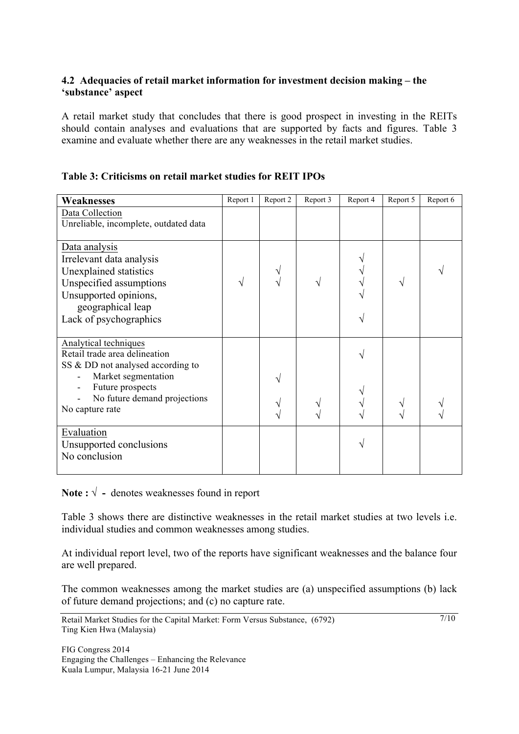#### **4.2 Adequacies of retail market information for investment decision making – the 'substance' aspect**

A retail market study that concludes that there is good prospect in investing in the REITs should contain analyses and evaluations that are supported by facts and figures. Table 3 examine and evaluate whether there are any weaknesses in the retail market studies.

|  | Table 3: Criticisms on retail market studies for REIT IPOs |  |  |  |  |
|--|------------------------------------------------------------|--|--|--|--|
|  |                                                            |  |  |  |  |

| <b>Weaknesses</b>                     | Report 1 | Report 2 | Report 3 | Report 4 | Report 5 | Report 6 |
|---------------------------------------|----------|----------|----------|----------|----------|----------|
| Data Collection                       |          |          |          |          |          |          |
| Unreliable, incomplete, outdated data |          |          |          |          |          |          |
|                                       |          |          |          |          |          |          |
| Data analysis                         |          |          |          |          |          |          |
| Irrelevant data analysis              |          |          |          |          |          |          |
| Unexplained statistics                |          |          |          |          |          |          |
| Unspecified assumptions               |          |          |          |          |          |          |
| Unsupported opinions,                 |          |          |          |          |          |          |
| geographical leap                     |          |          |          |          |          |          |
| Lack of psychographics                |          |          |          |          |          |          |
|                                       |          |          |          |          |          |          |
| Analytical techniques                 |          |          |          |          |          |          |
| Retail trade area delineation         |          |          |          |          |          |          |
| SS & DD not analysed according to     |          |          |          |          |          |          |
| Market segmentation                   |          |          |          |          |          |          |
| Future prospects                      |          |          |          |          |          |          |
| No future demand projections          |          |          |          |          |          |          |
| No capture rate                       |          |          |          |          |          |          |
| Evaluation                            |          |          |          |          |          |          |
| Unsupported conclusions               |          |          |          |          |          |          |
| No conclusion                         |          |          |          |          |          |          |
|                                       |          |          |          |          |          |          |

Note :  $\sqrt{}$  - denotes weaknesses found in report

Table 3 shows there are distinctive weaknesses in the retail market studies at two levels i.e. individual studies and common weaknesses among studies.

At individual report level, two of the reports have significant weaknesses and the balance four are well prepared.

The common weaknesses among the market studies are (a) unspecified assumptions (b) lack of future demand projections; and (c) no capture rate.

7/10

FIG Congress 2014 Engaging the Challenges – Enhancing the Relevance Kuala Lumpur, Malaysia 16-21 June 2014

Retail Market Studies for the Capital Market: Form Versus Substance, (6792) Ting Kien Hwa (Malaysia)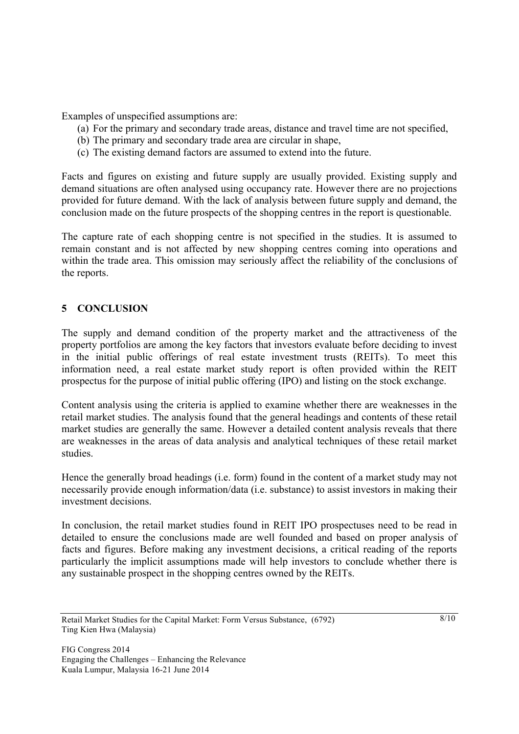Examples of unspecified assumptions are:

- (a) For the primary and secondary trade areas, distance and travel time are not specified,
- (b) The primary and secondary trade area are circular in shape,
- (c) The existing demand factors are assumed to extend into the future.

Facts and figures on existing and future supply are usually provided. Existing supply and demand situations are often analysed using occupancy rate. However there are no projections provided for future demand. With the lack of analysis between future supply and demand, the conclusion made on the future prospects of the shopping centres in the report is questionable.

The capture rate of each shopping centre is not specified in the studies. It is assumed to remain constant and is not affected by new shopping centres coming into operations and within the trade area. This omission may seriously affect the reliability of the conclusions of the reports.

#### **5 CONCLUSION**

The supply and demand condition of the property market and the attractiveness of the property portfolios are among the key factors that investors evaluate before deciding to invest in the initial public offerings of real estate investment trusts (REITs). To meet this information need, a real estate market study report is often provided within the REIT prospectus for the purpose of initial public offering (IPO) and listing on the stock exchange.

Content analysis using the criteria is applied to examine whether there are weaknesses in the retail market studies. The analysis found that the general headings and contents of these retail market studies are generally the same. However a detailed content analysis reveals that there are weaknesses in the areas of data analysis and analytical techniques of these retail market studies.

Hence the generally broad headings (i.e. form) found in the content of a market study may not necessarily provide enough information/data (i.e. substance) to assist investors in making their investment decisions.

In conclusion, the retail market studies found in REIT IPO prospectuses need to be read in detailed to ensure the conclusions made are well founded and based on proper analysis of facts and figures. Before making any investment decisions, a critical reading of the reports particularly the implicit assumptions made will help investors to conclude whether there is any sustainable prospect in the shopping centres owned by the REITs.

Retail Market Studies for the Capital Market: Form Versus Substance, (6792) Ting Kien Hwa (Malaysia)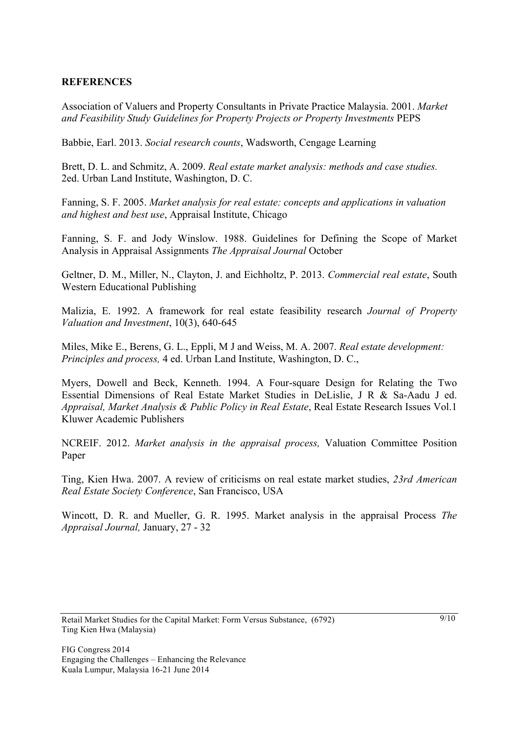#### **REFERENCES**

Association of Valuers and Property Consultants in Private Practice Malaysia. 2001. *Market and Feasibility Study Guidelines for Property Projects or Property Investments* PEPS

Babbie, Earl. 2013. *Social research counts*, Wadsworth, Cengage Learning

Brett, D. L. and Schmitz, A. 2009. *Real estate market analysis: methods and case studies.*  2ed. Urban Land Institute, Washington, D. C.

Fanning, S. F. 2005. *Market analysis for real estate: concepts and applications in valuation and highest and best use*, Appraisal Institute, Chicago

Fanning, S. F. and Jody Winslow. 1988. Guidelines for Defining the Scope of Market Analysis in Appraisal Assignments *The Appraisal Journal* October

Geltner, D. M., Miller, N., Clayton, J. and Eichholtz, P. 2013. *Commercial real estate*, South Western Educational Publishing

Malizia, E. 1992. A framework for real estate feasibility research *Journal of Property Valuation and Investment*, 10(3), 640-645

Miles, Mike E., Berens, G. L., Eppli, M J and Weiss, M. A. 2007. *Real estate development: Principles and process,* 4 ed. Urban Land Institute, Washington, D. C.,

Myers, Dowell and Beck, Kenneth. 1994. A Four-square Design for Relating the Two Essential Dimensions of Real Estate Market Studies in DeLislie, J R & Sa-Aadu J ed. *Appraisal, Market Analysis & Public Policy in Real Estate*, Real Estate Research Issues Vol.1 Kluwer Academic Publishers

NCREIF. 2012. *Market analysis in the appraisal process,* Valuation Committee Position Paper

Ting, Kien Hwa. 2007. A review of criticisms on real estate market studies, *23rd American Real Estate Society Conference*, San Francisco, USA

Wincott, D. R. and Mueller, G. R. 1995. Market analysis in the appraisal Process *The Appraisal Journal,* January, 27 - 32

Retail Market Studies for the Capital Market: Form Versus Substance, (6792) Ting Kien Hwa (Malaysia)